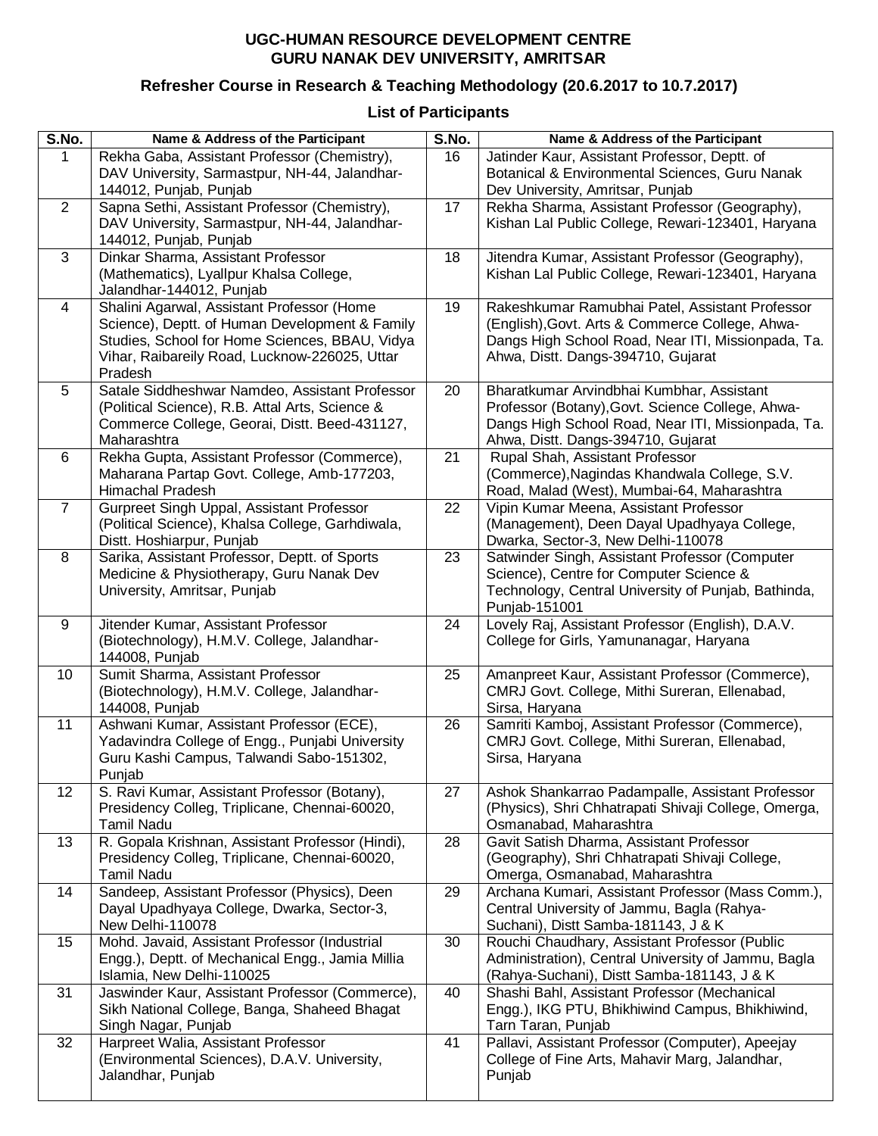## **UGC-HUMAN RESOURCE DEVELOPMENT CENTRE GURU NANAK DEV UNIVERSITY, AMRITSAR**

## **Refresher Course in Research & Teaching Methodology (20.6.2017 to 10.7.2017)**

**List of Participants**

| S.No.          | Name & Address of the Participant                                                                | S.No. | Name & Address of the Participant                                                                        |
|----------------|--------------------------------------------------------------------------------------------------|-------|----------------------------------------------------------------------------------------------------------|
| $\mathbf{1}$   | Rekha Gaba, Assistant Professor (Chemistry),                                                     | 16    | Jatinder Kaur, Assistant Professor, Deptt. of                                                            |
|                | DAV University, Sarmastpur, NH-44, Jalandhar-                                                    |       | Botanical & Environmental Sciences, Guru Nanak                                                           |
| $\overline{2}$ | 144012, Punjab, Punjab<br>Sapna Sethi, Assistant Professor (Chemistry),                          | 17    | Dev University, Amritsar, Punjab<br>Rekha Sharma, Assistant Professor (Geography),                       |
|                | DAV University, Sarmastpur, NH-44, Jalandhar-                                                    |       | Kishan Lal Public College, Rewari-123401, Haryana                                                        |
|                | 144012, Punjab, Punjab                                                                           |       |                                                                                                          |
| 3              | Dinkar Sharma, Assistant Professor                                                               | 18    | Jitendra Kumar, Assistant Professor (Geography),                                                         |
|                | (Mathematics), Lyallpur Khalsa College,                                                          |       | Kishan Lal Public College, Rewari-123401, Haryana                                                        |
|                | Jalandhar-144012, Punjab                                                                         |       |                                                                                                          |
| 4              | Shalini Agarwal, Assistant Professor (Home                                                       | 19    | Rakeshkumar Ramubhai Patel, Assistant Professor                                                          |
|                | Science), Deptt. of Human Development & Family<br>Studies, School for Home Sciences, BBAU, Vidya |       | (English), Govt. Arts & Commerce College, Ahwa-<br>Dangs High School Road, Near ITI, Missionpada, Ta.    |
|                | Vihar, Raibareily Road, Lucknow-226025, Uttar                                                    |       | Ahwa, Distt. Dangs-394710, Gujarat                                                                       |
|                | Pradesh                                                                                          |       |                                                                                                          |
| 5              | Satale Siddheshwar Namdeo, Assistant Professor                                                   | 20    | Bharatkumar Arvindbhai Kumbhar, Assistant                                                                |
|                | (Political Science), R.B. Attal Arts, Science &                                                  |       | Professor (Botany), Govt. Science College, Ahwa-                                                         |
|                | Commerce College, Georai, Distt. Beed-431127,                                                    |       | Dangs High School Road, Near ITI, Missionpada, Ta.                                                       |
| 6              | Maharashtra<br>Rekha Gupta, Assistant Professor (Commerce),                                      | 21    | Ahwa, Distt. Dangs-394710, Gujarat<br>Rupal Shah, Assistant Professor                                    |
|                | Maharana Partap Govt. College, Amb-177203,                                                       |       | (Commerce), Nagindas Khandwala College, S.V.                                                             |
|                | Himachal Pradesh                                                                                 |       | Road, Malad (West), Mumbai-64, Maharashtra                                                               |
| $\overline{7}$ | Gurpreet Singh Uppal, Assistant Professor                                                        | 22    | Vipin Kumar Meena, Assistant Professor                                                                   |
|                | (Political Science), Khalsa College, Garhdiwala,                                                 |       | (Management), Deen Dayal Upadhyaya College,                                                              |
|                | Distt. Hoshiarpur, Punjab                                                                        |       | Dwarka, Sector-3, New Delhi-110078                                                                       |
| 8              | Sarika, Assistant Professor, Deptt. of Sports                                                    | 23    | Satwinder Singh, Assistant Professor (Computer                                                           |
|                | Medicine & Physiotherapy, Guru Nanak Dev<br>University, Amritsar, Punjab                         |       | Science), Centre for Computer Science &<br>Technology, Central University of Punjab, Bathinda,           |
|                |                                                                                                  |       | Punjab-151001                                                                                            |
| 9              | Jitender Kumar, Assistant Professor                                                              | 24    | Lovely Raj, Assistant Professor (English), D.A.V.                                                        |
|                | (Biotechnology), H.M.V. College, Jalandhar-                                                      |       | College for Girls, Yamunanagar, Haryana                                                                  |
|                | 144008, Punjab                                                                                   |       |                                                                                                          |
| 10             | Sumit Sharma, Assistant Professor<br>(Biotechnology), H.M.V. College, Jalandhar-                 | 25    | Amanpreet Kaur, Assistant Professor (Commerce),<br>CMRJ Govt. College, Mithi Sureran, Ellenabad,         |
|                | 144008, Punjab                                                                                   |       | Sirsa, Haryana                                                                                           |
| 11             | Ashwani Kumar, Assistant Professor (ECE),                                                        | 26    | Samriti Kamboj, Assistant Professor (Commerce),                                                          |
|                | Yadavindra College of Engg., Punjabi University                                                  |       | CMRJ Govt. College, Mithi Sureran, Ellenabad,                                                            |
|                | Guru Kashi Campus, Talwandi Sabo-151302,                                                         |       | Sirsa, Haryana                                                                                           |
|                | Punjab                                                                                           |       |                                                                                                          |
| 12             | S. Ravi Kumar, Assistant Professor (Botany),<br>Presidency Colleg, Triplicane, Chennai-60020,    | 27    | Ashok Shankarrao Padampalle, Assistant Professor<br>(Physics), Shri Chhatrapati Shivaji College, Omerga, |
|                | Tamil Nadu                                                                                       |       | Osmanabad, Maharashtra                                                                                   |
| 13             | R. Gopala Krishnan, Assistant Professor (Hindi),                                                 | 28    | Gavit Satish Dharma, Assistant Professor                                                                 |
|                | Presidency Colleg, Triplicane, Chennai-60020,                                                    |       | (Geography), Shri Chhatrapati Shivaji College,                                                           |
|                | <b>Tamil Nadu</b>                                                                                |       | Omerga, Osmanabad, Maharashtra                                                                           |
| 14             | Sandeep, Assistant Professor (Physics), Deen                                                     | 29    | Archana Kumari, Assistant Professor (Mass Comm.),                                                        |
|                | Dayal Upadhyaya College, Dwarka, Sector-3,                                                       |       | Central University of Jammu, Bagla (Rahya-                                                               |
| 15             | New Delhi-110078<br>Mohd. Javaid, Assistant Professor (Industrial                                | 30    | Suchani), Distt Samba-181143, J & K<br>Rouchi Chaudhary, Assistant Professor (Public                     |
|                | Engg.), Deptt. of Mechanical Engg., Jamia Millia                                                 |       | Administration), Central University of Jammu, Bagla                                                      |
|                | Islamia, New Delhi-110025                                                                        |       | (Rahya-Suchani), Distt Samba-181143, J & K                                                               |
| 31             | Jaswinder Kaur, Assistant Professor (Commerce),                                                  | 40    | Shashi Bahl, Assistant Professor (Mechanical                                                             |
|                | Sikh National College, Banga, Shaheed Bhagat                                                     |       | Engg.), IKG PTU, Bhikhiwind Campus, Bhikhiwind,                                                          |
|                | Singh Nagar, Punjab                                                                              |       | Tarn Taran, Punjab                                                                                       |
| 32             | Harpreet Walia, Assistant Professor<br>(Environmental Sciences), D.A.V. University,              | 41    | Pallavi, Assistant Professor (Computer), Apeejay<br>College of Fine Arts, Mahavir Marg, Jalandhar,       |
|                | Jalandhar, Punjab                                                                                |       | Punjab                                                                                                   |
|                |                                                                                                  |       |                                                                                                          |